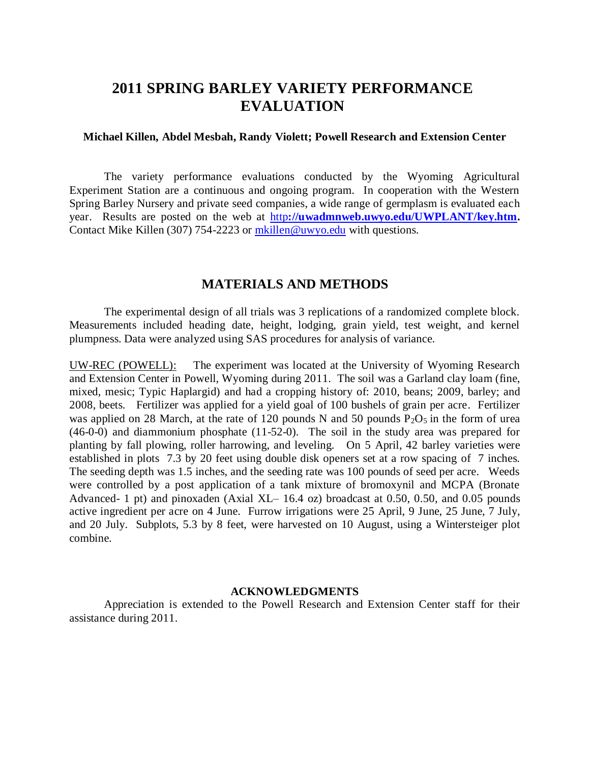## **2011 SPRING BARLEY VARIETY PERFORMANCE EVALUATION**

## **Michael Killen, Abdel Mesbah, Randy Violett; Powell Research and Extension Center**

The variety performance evaluations conducted by the Wyoming Agricultural Experiment Station are a continuous and ongoing program. In cooperation with the Western Spring Barley Nursery and private seed companies, a wide range of germplasm is evaluated each year. Results are posted on the web at http**[://uwadmnweb.uwyo.edu/UWPLANT/key.htm.](http://uwadmnweb.uwyo.edu/UWPLANT/key.htm)**  Contact Mike Killen (307) 754-2223 or [mkillen@uwyo.edu](mailto:mkillen@uwyo.edu) with questions.

## **MATERIALS AND METHODS**

The experimental design of all trials was 3 replications of a randomized complete block. Measurements included heading date, height, lodging, grain yield, test weight, and kernel plumpness. Data were analyzed using SAS procedures for analysis of variance.

UW-REC (POWELL): The experiment was located at the University of Wyoming Research and Extension Center in Powell, Wyoming during 2011. The soil was a Garland clay loam (fine, mixed, mesic; Typic Haplargid) and had a cropping history of: 2010, beans; 2009, barley; and 2008, beets. Fertilizer was applied for a yield goal of 100 bushels of grain per acre. Fertilizer was applied on 28 March, at the rate of 120 pounds N and 50 pounds  $P_2O_5$  in the form of urea (46-0-0) and diammonium phosphate (11-52-0). The soil in the study area was prepared for planting by fall plowing, roller harrowing, and leveling. On 5 April, 42 barley varieties were established in plots 7.3 by 20 feet using double disk openers set at a row spacing of 7 inches. The seeding depth was 1.5 inches, and the seeding rate was 100 pounds of seed per acre. Weeds were controlled by a post application of a tank mixture of bromoxynil and MCPA (Bronate Advanced- 1 pt) and pinoxaden (Axial XL– 16.4 oz) broadcast at 0.50, 0.50, and 0.05 pounds active ingredient per acre on 4 June. Furrow irrigations were 25 April, 9 June, 25 June, 7 July, and 20 July. Subplots, 5.3 by 8 feet, were harvested on 10 August, using a Wintersteiger plot combine.

## **ACKNOWLEDGMENTS**

Appreciation is extended to the Powell Research and Extension Center staff for their assistance during 2011.